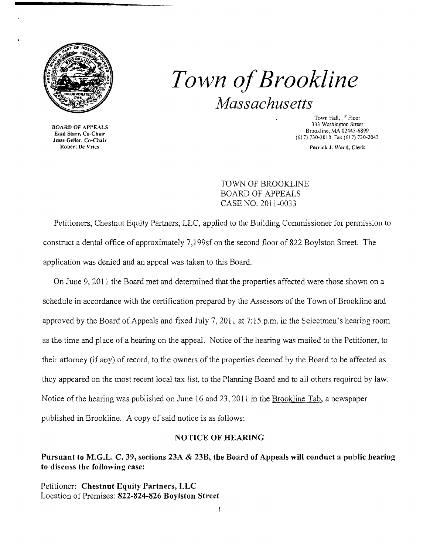

BOARD OF APPEALS Enid Starr, Co-Chair Jesse Geller, Co-Chair Robert De Vries

# *Town ofBrookline Massachusetts*

Town Hall, 1st Floor 333 Washington Street Brookline, MA 02445-6899 (617) 730-2010 Fax (617) 730-2043

Patrick J. Ward, Clerk

TOWN OF BROOKLINE BOARD OF APPEALS CASE NO. 2011-0033

Petitioners, Chestnut Equity Partners, LLC, applied to the Building Commissioner for permission to construct a dental office of approximately 7,199sf on the second floor of 822 Boylston Street. The application was denied and an appeal was taken to this Board.

On June 9, 2011 the Board met and determined that the properties affected were those shown on a schedule in accordance with the certification prepared by the Assessors of the Town of Brookline and approved by the Board of Appeals and fixed July 7, 2011 at 7:15 p.m. in the Selectmen's hearing room as the time and place of a hearing on the appeal. Notice of the hearing was mailed to the Petitioner, to their attorney (if any) of record, to the owners of the properties deemed by the Board to be affected as they appeared on the most recent local tax list, to the Planning Board and to all others required by law. Notice of the hearing was published on June 16 and 23, 2011 in the Brookline Tab, a newspaper published in Brookline. A copy of said notice is as follows:

#### NOTICE OF HEARING

#### Pursuant to M.G.L. C. 39, sections 23A & 23B, the Board of Appeals will conduct a public hearing to discuss the following case:

Petitioner: Chestnut Equity Partners, LLC Location of Premises: 822-824-826 Boylston Street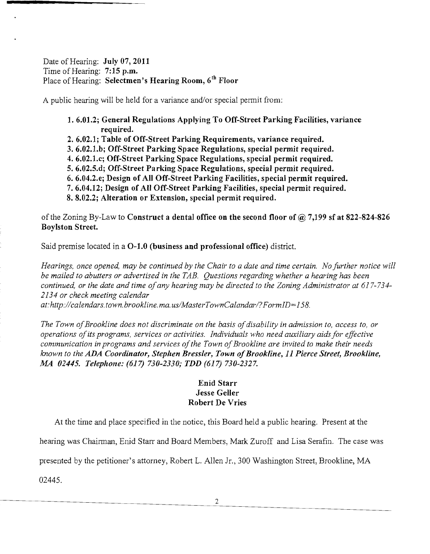Date of Hearing: **July 07, 2011** Time of Hearing: 7:15 p.m. Place of Hearing: Selectmen's Hearing Room, 6<sup>th</sup> Floor

A public hearing will be held for a variance and/or special permit from:

1. 6.01.2; General Regulations Applying To Off-Street Parking Facilities, variance required.

- 2.6.02.1; Table of Off-Street Parking Requirements, variance required.
- 3. 6.02.l.bj Off-Street Parking Space Regulations, special permit required.
- 4. 6.02.l.cj Off-Street Parking Space Regulations, special permit required.
- 5. 6.02.5.dj Off-Street Parking Space Regulations, special permit required.
- 6. 6.04.2.ej Design of All Off-Street Parking Facilities, special permit required.
- 7. 6.04.12j Design of All Off-Street Parking Facilities, special permit required.
- 8. 8.02.2: Alteration or Extension, special permit required.

of the Zoning By-Law to Construct a dental office on the second floor of  $\omega$  7,199 sf at 822-824-826 Boylston Street.

Said premise located in a 0-1.0 (business and professional office) district.

*Hearings, once opened, may be continued by the Chair to a date and time certain. No further notice will be mailed to abutters or advertised in the TAB. Questions regarding whether a hearing has been continued, or the date and time ofany hearing may be directed to the Zoning Administrator at 617-734 2134 or check meeting calendar at:http://calendars.town.brookline.ma.usIMasterTownCalandarl?FormID= 158.* 

The Town of Brookline does not discriminate on the basis of disability in admission to, access to, or *operations ofits programs, services or activities. Individuals who need auxiliary aids for effective*  communication in programs and services of the Town of Brookline are invited to make their needs *knovm to the ADA Coordinator, Stephen Bressler, Town ofBrookline,* 11 *Pierce Street, Brookline, M4 02445. Telephone:* (617) *730-2330; TDD* (617) *730-2327.* 

### Enid Starr Jesse Geller Robert De Vries

At the time and place specified in the notice, this Board held a public hearing. Present at the

hearing was Chairman, Enid Starr and Board Members, Mark Zuroff and Lisa Serafin. The case was

presented by the petitioner's attorney, Robert L. Allen Jr., 300 Washington Street, Brookline, MA

02445.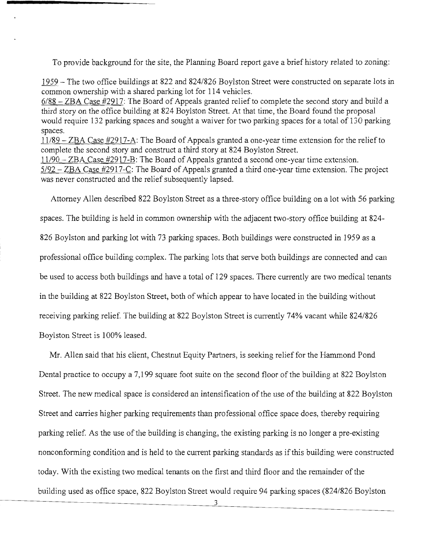To provide background for the site, the Planning Board report gave a brief history related to zoning:

1959 - The two office buildings at 822 and 824/826 Boylston Street were constructed on separate lots in common ownership with a shared parking lot for 114 vehicles.

6/88 - ZBA Case #2917: The Board of Appeals granted relief to complete the second story and build a third story on the office building at 824 Boylston Street. At that time, the Board found the proposal would require 132 parking spaces and sought a waiver for two parking spaces for a total of 130 parking spaces.

11/89 - ZBA Case #2917-A: The Board of Appeals granted a one-year time extension for the relief to complete the second story and construct a third story at 824 Boylston Street.

11/90 - ZBA Case #2917-B: The Board of Appeals granted a second one-year time extension. 5/92 - ZBA Case #2917-C: The Board of Appeals granted a third one-year time extension. The project was never constructed and the relief subsequently lapsed.

Attorney Allen described 822 Boylston Street as a three-story office building on a lot with 56 parking spaces. The building is held in common ownership with the adjacent two-story office building at 824 826 Boylston and parking lot with 73 parking spaces. Both buildings were constructed in 1959 as a professional office building complex. The parking lots that serve both buildings are connected and can be used to access both buildings and have a total of 129 spaces. There currently are two medical tenants in the building at 822 Boylston Street, both of which appear to have located in the building without receiving parking relief. The building at 822 Boylston Street is currently 74% vacant while 824/826 Boylston Street is 100% leased.

Mr. Allen said that his client, Chestnut Equity Partners, is seeking relief for the Hammond Pond Dental practice to occupy a 7,199 square foot suite on the second floor of the building at 822 Boylston Street. The new medical space is considered an intensification of the use of the building at 822 Boylston Street and carries higher parking requirements than professional office space does, thereby requiring parking relief. As the use of the building is changing, the existing parking is no longer a pre-existing nonconforming condition and is held to the current parking standards as if this building were constructed today. With the existing two medical tenants on the first and third floor and the remainder of the building used as office space, 822 Boylston Street would require 94 parking spaces *(824/826* Boylston

3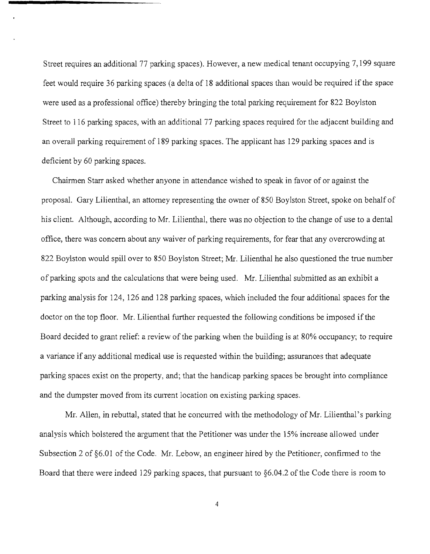Street requires an additional 77 parking spaces). However, a new medical tenant occupying 7,199 square feet would require 36 parking spaces (a delta of 18 additional spaces than would be required if the space were used as a professional office) thereby bringing the total parking requirement for 822 Boylston Street to 116 parking spaces, with an additional 77 parking spaces required for the adjacent building and an overall parking requirement of 189 parking spaces. The applicant has 129 parking spaces and is deficient by 60 parking spaces.

Chairmen Starr asked whether anyone in attendance wished to speak in favor of or against the proposal. Gary Lilienthal, an attorney representing the owner of 850 Boylston Street, spoke on behalf of his client. Although, according to Mr. Lilienthal, there was no objection to the change of use to a dental office, there was concern about any waiver of parking requirements, for fear that any overcrowding at 822 Boylston would spill over to 850 Boylston Street; Mr. Lilienthal he also questioned the true number of parking spots and the calculations that were being used. Mr. Lilienthal submitted as an exhibit a parking analysis for 124, 126 and 128 parking spaces, which included the four additional spaces for the doctor on the top floor. Mr. Lilienthal further requested the following conditions be imposed if the Board decided to grant relief: a review of the parking when the building is at 80% occupancy; to require a variance if any additional medical use is requested within the building; assurances that adequate parking spaces exist on the property, and; that the handicap parking spaces be brought into compliance and the dumpster moved from its current location on existing parking spaces.

Mr. Allen, in rebuttal, stated that he concurred with the methodology of Mr. Lilienthal's parking analysis which bolstered the argument that the Petitioner was under the 15% increase allowed under Subsection 2 of  $\S6.01$  of the Code. Mr. Lebow, an engineer hired by the Petitioner, confirmed to the Board that there were indeed 129 parking spaces, that pursuant to §6.04.2 of the Code there is room to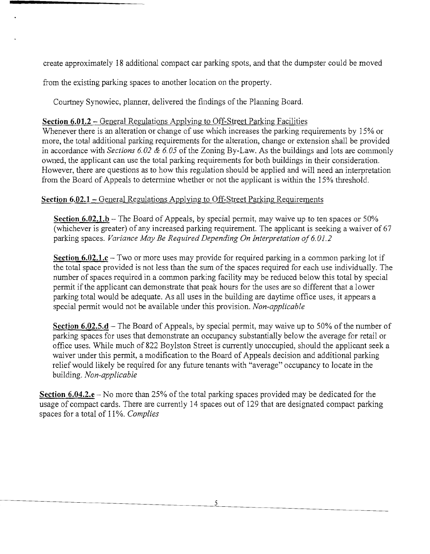create approximately 18 additional compact car parking spots, and that the dumpster could be moved

from the existing parking spaces to another location on the property.

Courtney Synowiec, planner, delivered the findings of the Planning Board.

### **Section 6.01.2** - General Regulations Applying to Off-Street Parking Facilities

Whenever there is an alteration or change of use which increases the parking requirements by 15% or more, the total additional parking requirements for the alteration, change or extension shall be provided in accordance with *Sections 6.02* & *6.05* of the Zoning By-Law. As the buildings and lots are commonly owned, the applicant can use the total parking requirements for both buildings in their consideration. However, there are questions as to how this regulation should be applied and will need an interpretation from the Board of Appeals to determine whether or not the applicant is within the 15% threshold.

## **Section 6.02.1** – General Regulations Applying to Off-Street Parking Requirements

Section 6.02.1.b – The Board of Appeals, by special permit, may waive up to ten spaces or 50% (whichever is greater) of any increased parking requirement. The applicant is seeking a waiver of 67 parking spaces. *Variance May Be Required Depending On Interpretation of 6.01.2* 

**Section 6.02.l.c** - Two or more uses may provide for required parking in a common parking lot if the total space provided is not less than the sum of the spaces required for each use individually. The number of spaces required in a common parking facility may be reduced below this total by special permit if the applicant can demonstrate that peak hours for the uses are so different that a lower parking total would be adequate. As all uses in the building are daytime office uses, it appears a special pennit would not be available under this provision. *Non-applicable* 

**Section 6.02.5.d** – The Board of Appeals, by special permit, may waive up to 50% of the number of parking spaces for uses that demonstrate an occupancy substantially below the average for retail or office uses. While much of 822 Boylston Street is currently unoccupied, should the applicant seek a waiver under this permit, a modification to the Board of Appeals decision and additional parking relief would likely be required for any future tenants with "average" occupancy to locate in the building. *Non-applicable* 

**Section 6.04.2.e** – No more than 25% of the total parking spaces provided may be dedicated for the usage of compact cards. There are currently 14 spaces out of 129 that are designated compact parking spaces for a total of 11%. *Complies*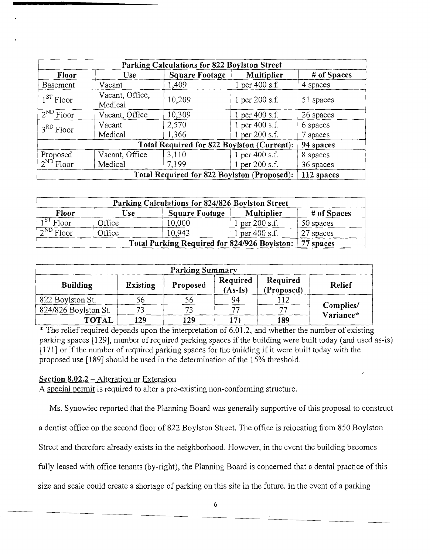| Parking Calculations for 822 Boylston Street |                            |                |                  |             |  |  |  |  |
|----------------------------------------------|----------------------------|----------------|------------------|-------------|--|--|--|--|
| Floor                                        | <b>Use</b>                 | Square Footage | Multiplier       | # of Spaces |  |  |  |  |
| <b>Basement</b>                              | Vacant                     | 1,409          | $1$ per 400 s.f. | 4 spaces    |  |  |  |  |
| $1^{ST}$ Floor                               | Vacant, Office,<br>Medical | 10,209         | 1 per 200 s.f.   | 51 spaces   |  |  |  |  |
| $2^{ND}$ Floor                               | Vacant, Office             | 10,309         | 1 per 400 s.f.   | 26 spaces   |  |  |  |  |
| $3RD$ Floor                                  | Vacant                     | 2,570          | 1 per 400 s.f.   | 6 spaces    |  |  |  |  |
|                                              | Medical                    | 1,366          | 1 per 200 s.f.   | 7 spaces    |  |  |  |  |
|                                              | 94 spaces                  |                |                  |             |  |  |  |  |
| Proposed                                     | Vacant, Office             | 3,110          | 1 per 400 s.f.   | 8 spaces    |  |  |  |  |
| $2^{ND}$ Floor                               | Medical                    | 7,199          | 1 per 200 s.f.   | 36 spaces   |  |  |  |  |
|                                              | 112 spaces                 |                |                  |             |  |  |  |  |

| Parking Calculations for 824/826 Boylston Street          |        |                |                  |             |  |  |  |  |
|-----------------------------------------------------------|--------|----------------|------------------|-------------|--|--|--|--|
| Floor                                                     | Use    | Square Footage | Multiplier       | # of Spaces |  |  |  |  |
| $1^{ST}$ Floor                                            | Office | 10,000         | 1 per 200 s.f.   | 50 spaces   |  |  |  |  |
| $2^{ND}$ Floor                                            | Office | 10.943         | l per $400$ s.f. | 27 spaces   |  |  |  |  |
| Total Parking Required for 824/926 Boylston:<br>77 spaces |        |                |                  |             |  |  |  |  |

| <b>Parking Summary</b> |                 |          |                       |                        |                          |  |  |  |
|------------------------|-----------------|----------|-----------------------|------------------------|--------------------------|--|--|--|
| <b>Building</b>        | <b>Existing</b> | Proposed | Required<br>$(As-Is)$ | Required<br>(Proposed) | Relief                   |  |  |  |
| 822 Boylston St.       | DO.             | эb       | 94                    |                        | Complies/<br>$Variance*$ |  |  |  |
| 824/826 Boylston St.   |                 |          | די                    | $-1$                   |                          |  |  |  |
| <b>TOTAL</b>           | 129             | 129      |                       | 189                    |                          |  |  |  |

\* The relief required depends upon the interpretation of 6.01.2, and whether the number of existing parking spaces [129J, number of required parking spaces if the building were built today (and used as-is)  $[171]$  or if the number of required parking spaces for the building if it were built today with the proposed use [189J should be used in the determination of the 15% threshold.

#### **Section 8.02.2** - Alteration or Extension

A special permit is required to alter a pre-existing non-conforming structure.

Ms. Synowiec reported that the Planning Board was generally supportive of this proposal to construct

a dentist office on the second floor of 822 Boylston Street. The office is relocating from 850 Boylston

Street and therefore already exists in the neighborhood. However, in the event the building becomes

fully leased with office tenants (by-right), the Planning Board is concerned that a dental practice of this

size and scale could create a shortage of parking on this site in the future. **In** the event of a parking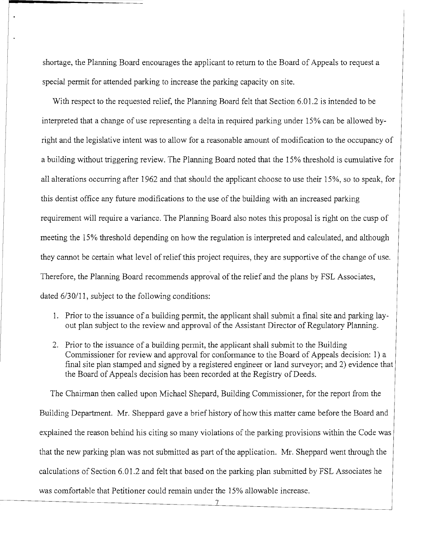shortage, the Planning Board encourages the applicant to return to the Board of Appeals to request a special permit for attended parking to increase the parking capacity on site.

With respect to the requested relief, the Planning Board felt that Section 6.01.2 is intended to be interpreted that a change of use representing a delta in required parking under 15% can be allowed byright and the legislative intent was to allow for a reasonable amount of modification to the occupancy of a building without triggering review. The Planning Board noted that the 15% threshold is cumulative for all alterations occurring after 1962 and that should the applicant choose to use their 15%, so to speak, for this dentist office any future modifications to the use of the building with an increased parking requirement will require a variance. The Planning Board also notes this proposal is right on the cusp of meeting the 15% threshold depending on how the regulation is interpreted and calculated, and although they cannot be certain what level of relief this project requires, they are supportive of the change of use. Therefore, the Planning Board recommends approval of the relief and the plans by FSL Associates, dated 6/30/11, subject to the following conditions:

- 1. Prior to the issuance of a building permit, the applicant shall submit a final site and parking layout plan subject to the review and approval of the Assistant Director of Regulatory Planning.
- 2. Prior to the issuance of a building permit, the applicant shall submit to the Building Commissioner for review and approval for conformance to the Board of Appeals decision: 1) a final site plan stamped and signed by a registered engineer or land surveyor; and 2) evidence that the Board of Appeals decision has been recorded at the Registry of Deeds.

The Chairman then called upon Michael Shepard, Building Commissioner, for the report from the Building Department. Mr. Sheppard gave a brief history of how this matter came before the Board and explained the reason behind his citing so many violations of the parking provisions within the Code was that the new parking plan was not submitted as part of the application. Mr. Sheppard went through the calculations of Section 6.01.2 and felt that based on the parking plan submitted by FSL Associates he was comfortable that Petitioner could remain under the 15% allowable increase.

7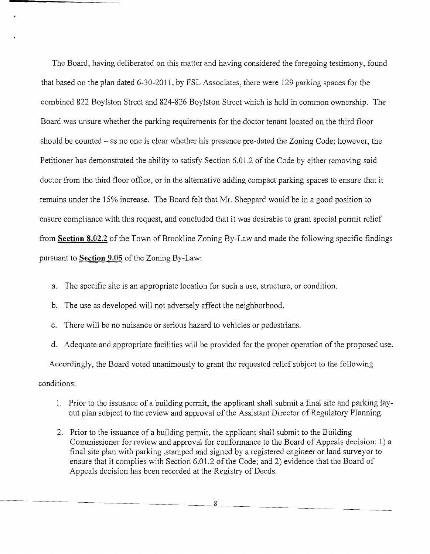The Board, having deliberated on this matter and having considered the foregoing testimony, found that based on the plan dated 6-30-2011, by FSL Associates, there were 129 parking spaces for the combined 822 Boylston Street and 824-826 Boylston Street which is held in common ownership. The Board was unsure whether the parking requirements for the doctor tenant located on the third floor should be counted  $-$  as no one is clear whether his presence pre-dated the Zoning Code; however, the Petitioner has demonstrated the ability to satisfy Section 6.01.2 of the Code by either removing said doctor from the third floor office, or in the alternative adding compact parking spaces to ensure that it remains under the 15% increase. The Board felt that Mr. Sheppard would be in a good position to ensure compliance with this request, and concluded that it was desirable to grant special permit relief from **Section 8.02.2** ofthe Town of Brookline Zoning By-Law and made the following specific findings pursuant to **Section 9.05** of the Zoning By-Law:

- a. The specific site is an appropriate location for such a use, structure, or condition.
- b. The use as developed will not adversely affect the neighborhood.
- c. There will be no nuisance or serious hazard to vehicles or pedestrians.

d. Adequate and appropriate facilities will be provided for the proper operation of the proposed use.

Accordingly, the Board voted unanimously to grant the requested relief subject to the following

#### conditions:

- 1. Prior to the issuance of a building permit, the applicant shall submit a final site and parking layout plan subject to the review and approval of the Assistant Director of Regulatory Planning.
- 2. Prior to the issuance of a building permit, the applicant shall submit to the Building Conunissioner for review and approval for conformance to the Board of Appeals decision: 1) a final site plan with parking ,stamped and signed by a registered engineer or land surveyor to ensure that it complies with Section 6.01.2 of the Code; and 2) evidence that the Board of Appeals decision has been recorded at the Registry of Deeds.

8